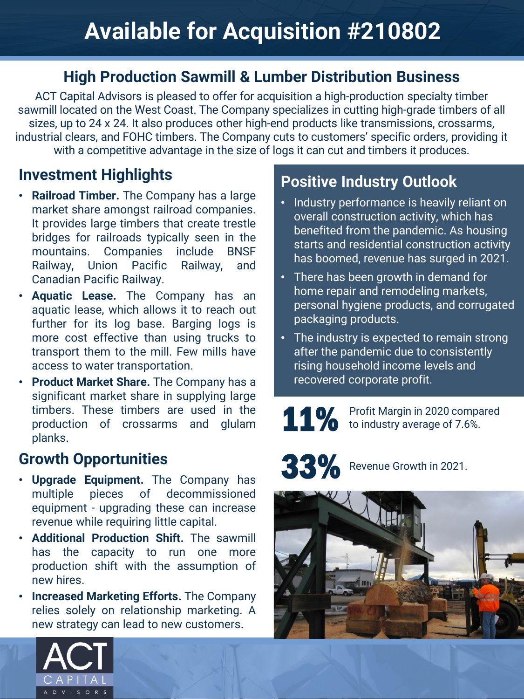## **High Production Sawmill & Lumber Distribution Business**

ACT Capital Advisors is pleased to offer for acquisition a high-production specialty timber sawmill located on the West Coast. The Company specializes in cutting high-grade timbers of all sizes, up to 24 x 24. It also produces other high-end products like transmissions, crossarms, industrial clears, and FOHC timbers. The Company cuts to customers' specific orders, providing it with a competitive advantage in the size of logs it can cut and timbers it produces.

## **Investment Highlights**

- **Railroad Timber.** The Company has a large market share amongst railroad companies. It provides large timbers that create trestle bridges for railroads typically seen in the mountains. Companies include BNSF Railway, Union Pacific Railway, and Canadian Pacific Railway.
- **Aquatic Lease.** The Company has an aquatic lease, which allows it to reach out further for its log base. Barging logs is more cost effective than using trucks to transport them to the mill. Few mills have access to water transportation.
- **Product Market Share.** The Company has a significant market share in supplying large timbers. These timbers are used in the production of crossarms and glulam planks.

## **Growth Opportunities**

- **Upgrade Equipment.** The Company has multiple pieces of decommissioned equipment - upgrading these can increase revenue while requiring little capital.
- **Additional Production Shift.** The sawmill has the capacity to run one more production shift with the assumption of new hires.
- **Increased Marketing Efforts.** The Company relies solely on relationship marketing. A new strategy can lead to new customers.



## **Positive Industry Outlook**

- Industry performance is heavily reliant on overall construction activity, which has benefited from the pandemic. As housing starts and residential construction activity has boomed, revenue has surged in 2021.
- There has been growth in demand for home repair and remodeling markets, personal hygiene products, and corrugated packaging products.
- The industry is expected to remain strong after the pandemic due to consistently rising household income levels and recovered corporate profit.

11% Profit Margin in 2020 compared to industry average of 7.6%.

#### Revenue Growth in 2021. 33%